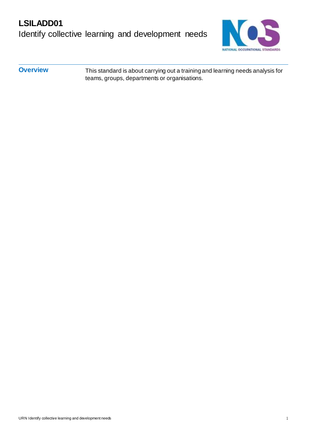# **LSILADD01** Identify collective learning and development needs



**Overview** This standard is about carrying out a training and learning needs analysis for teams, groups, departments or organisations.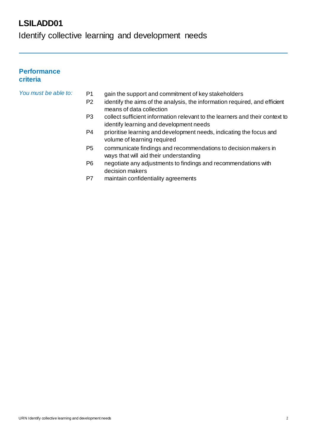Identify collective learning and development needs

### **Performance criteria**

### *You must be able to:* P1 gain the support and commitment of key stakeholders

- P2 identify the aims of the analysis, the information required, and efficient means of data collection
- P3 collect sufficient information relevant to the learners and their context to identify learning and development needs
- P4 prioritise learning and development needs, indicating the focus and volume of learning required
- P5 communicate findings and recommendations to decision makers in ways that will aid their understanding
- P6 negotiate any adjustments to findings and recommendations with decision makers
- P7 maintain confidentiality agreements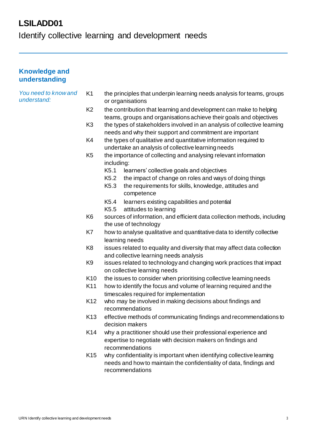Identify collective learning and development needs

### **Knowledge and understanding**

#### *You need to know and understand:*

- K1 the principles that underpin learning needs analysis for teams, groups or organisations
- K2 the contribution that learning and development can make to helping teams, groups and organisations achieve their goals and objectives
- K3 the types of stakeholders involved in an analysis of collective learning needs and why their support and commitment are important
- K4 the types of qualitative and quantitative information required to undertake an analysis of collective learning needs
- K5 the importance of collecting and analysing relevant information including:
	- K5.1 learners' collective goals and objectives
	- K5.2 the impact of change on roles and ways of doing things
	- K5.3 the requirements for skills, knowledge, attitudes and competence
	- K5.4 learners existing capabilities and potential
	- K5.5 attitudes to learning
- K6 sources of information, and efficient data collection methods, including the use of technology
- K7 how to analyse qualitative and quantitative data to identify collective learning needs
- K8 issues related to equality and diversity that may affect data collection and collective learning needs analysis
- K9 issues related to technology and changing work practices that impact on collective learning needs
- K10 the issues to consider when prioritising collective learning needs
- K11 how to identify the focus and volume of learning required and the timescales required for implementation
- K12 who may be involved in making decisions about findings and recommendations
- K13 effective methods of communicating findings and recommendations to decision makers
- K14 why a practitioner should use their professional experience and expertise to negotiate with decision makers on findings and recommendations
- K15 why confidentiality is important when identifying collective learning needs and how to maintain the confidentiality of data, findings and recommendations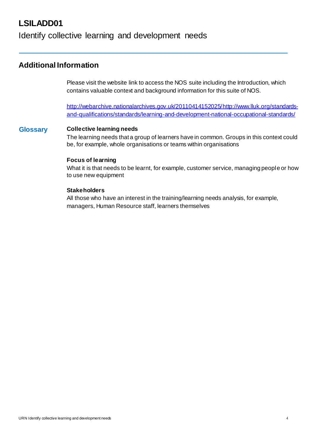### Identify collective learning and development needs

### **Additional Information**

Please visit the website link to access the NOS suite including the Introduction, which contains valuable context and background information for this suite of NOS.

http://webarchive.nationalarchives.gov.uk/2011041415202[5/http://www.lluk.org/standards](http://www.lluk.org/standards-)and-qualifications/standards/learning-and-development-national-occupational-standards/

#### **Glossary Collective learning needs**

The learning needs that a group of learners have in common. Groups in this context could be, for example, whole organisations or teams within organisations

#### **Focus of learning**

What it is that needs to be learnt, for example, customer service, managing people or how to use new equipment

### **Stakeholders**

All those who have an interest in the training/learning needs analysis, for example, managers, Human Resource staff, learners themselves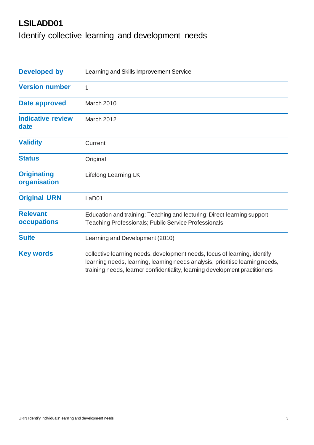Identify collective learning and development needs

| <b>Developed by</b>                | Learning and Skills Improvement Service                                                                                                                                                                                                   |  |  |  |
|------------------------------------|-------------------------------------------------------------------------------------------------------------------------------------------------------------------------------------------------------------------------------------------|--|--|--|
| <b>Version number</b>              | 1                                                                                                                                                                                                                                         |  |  |  |
| Date approved                      | March 2010                                                                                                                                                                                                                                |  |  |  |
| <b>Indicative review</b><br>date   | March 2012                                                                                                                                                                                                                                |  |  |  |
| <b>Validity</b>                    | Current                                                                                                                                                                                                                                   |  |  |  |
| <b>Status</b>                      | Original                                                                                                                                                                                                                                  |  |  |  |
| <b>Originating</b><br>organisation | Lifelong Learning UK                                                                                                                                                                                                                      |  |  |  |
| <b>Original URN</b>                | LaD <sub>01</sub>                                                                                                                                                                                                                         |  |  |  |
| <b>Relevant</b><br>occupations     | Education and training; Teaching and lecturing; Direct learning support;<br>Teaching Professionals; Public Service Professionals                                                                                                          |  |  |  |
| <b>Suite</b>                       | Learning and Development (2010)                                                                                                                                                                                                           |  |  |  |
| <b>Key words</b>                   | collective learning needs, development needs, focus of learning, identify<br>learning needs, learning, learning needs analysis, prioritise learning needs,<br>training needs, learner confidentiality, learning development practitioners |  |  |  |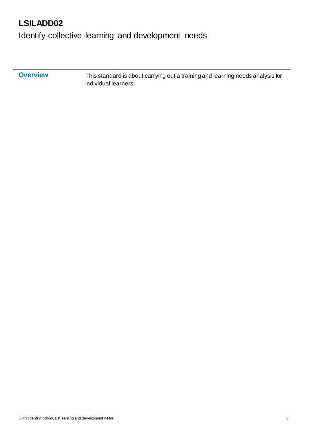Identify collective learning and development needs

**Overview** This standard is about carrying out a training and learning needs analysis for individual learners.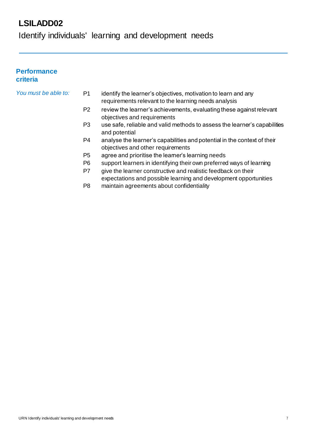Identify individuals' learning and development needs

### **Performance criteria**

### *You must be able to:* P1 identify the learner's objectives, motivation to learn and any requirements relevant to the learning needs analysis

- P2 review the learner's achievements, evaluating these against relevant objectives and requirements
- P3 use safe, reliable and valid methods to assess the learner's capabilities and potential
- P4 analyse the learner's capabilities and potential in the context of their objectives and other requirements
- P5 agree and prioritise the learner's learning needs
- P6 support learners in identifying their own preferred ways of learning
- P7 give the learner constructive and realistic feedback on their expectations and possible learning and development opportunities
- P8 maintain agreements about confidentiality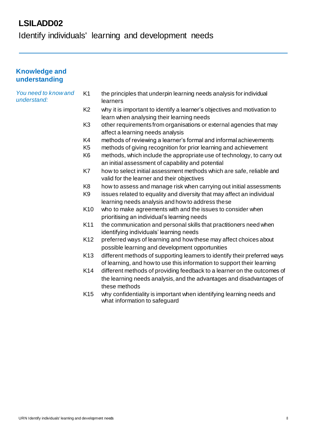Identify individuals' learning and development needs

### **Knowledge and understanding**

#### *You need to know and understand:* K1 the principles that underpin learning needs analysis for individual learners

- K2 why it is important to identify a learner's objectives and motivation to learn when analysing their learning needs
- K3 other requirements from organisations or external agencies that may affect a learning needs analysis
- K4 methods of reviewing a learner's formal and informalachievements
- K5 methods of giving recognition for prior learning and achievement
- K6 methods, which include the appropriate use of technology, to carry out an initial assessment of capability and potential
- K7 how to select initial assessment methods which are safe, reliable and valid for the learner and their objectives
- K8 how to assess and manage risk when carrying out initial assessments
- K9 issues related to equality and diversity that may affect an individual learning needs analysis and how to address these
- K10 who to make agreements with and the issues to consider when prioritising an individual's learning needs
- K11 the communication and personal skills that practitioners need when identifying individuals' learning needs
- K12 preferred ways of learning and how these may affect choices about possible learning and development opportunities
- K13 different methods of supporting learners to identify their preferred ways of learning, and how to use this information to support their learning
- K14 different methods of providing feedback to a learner on the outcomes of the learning needs analysis, and the advantages and disadvantages of these methods
- K15 why confidentiality is important when identifying learning needs and what information to safeguard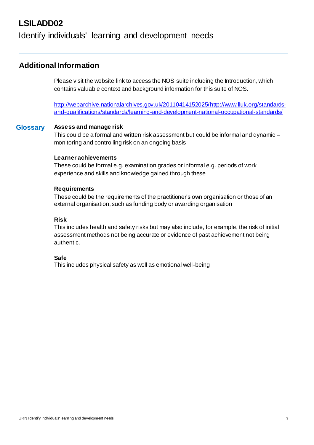### Identify individuals' learning and development needs

### **Additional Information**

Please visit the website link to access the NOS suite including the Introduction, which contains valuable context and background information for this suite of NOS.

http://webarchive.nationalarchives.gov.uk/2011041415202[5/http://www.lluk.org/standards](http://www.lluk.org/standards-)and-qualifications/standards/learning-and-development-national-occupational-standards/

#### **Glossary Assess and manage risk**

This could be a formal and written risk assessment but could be informal and dynamic – monitoring and controlling risk on an ongoing basis

#### **Learner achievements**

These could be formal e.g. examination grades or informal e.g. periods of work experience and skills and knowledge gained through these

#### **Requirements**

These could be the requirements of the practitioner's own organisation or those of an external organisation, such as funding body or awarding organisation

### **Risk**

This includes health and safety risks but may also include, for example, the risk of initial assessment methods not being accurate or evidence of past achievement not being authentic.

#### **Safe**

This includes physical safety as well as emotional well-being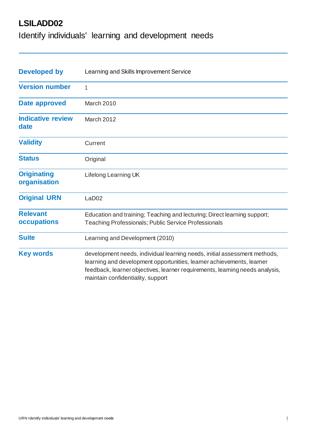Identify individuals' learning and development needs

| <b>Developed by</b>                | Learning and Skills Improvement Service                                                                                                                                                                                                                                 |  |  |
|------------------------------------|-------------------------------------------------------------------------------------------------------------------------------------------------------------------------------------------------------------------------------------------------------------------------|--|--|
| <b>Version number</b>              | 1                                                                                                                                                                                                                                                                       |  |  |
| Date approved                      | March 2010                                                                                                                                                                                                                                                              |  |  |
| <b>Indicative review</b><br>date   | March 2012                                                                                                                                                                                                                                                              |  |  |
| <b>Validity</b>                    | Current                                                                                                                                                                                                                                                                 |  |  |
| <b>Status</b>                      | Original                                                                                                                                                                                                                                                                |  |  |
| <b>Originating</b><br>organisation | Lifelong Learning UK                                                                                                                                                                                                                                                    |  |  |
| <b>Original URN</b>                | LaD <sub>02</sub>                                                                                                                                                                                                                                                       |  |  |
| <b>Relevant</b><br>occupations     | Education and training; Teaching and lecturing; Direct learning support;<br><b>Teaching Professionals; Public Service Professionals</b>                                                                                                                                 |  |  |
| <b>Suite</b>                       | Learning and Development (2010)                                                                                                                                                                                                                                         |  |  |
| <b>Key words</b>                   | development needs, individual learning needs, initial assessment methods,<br>learning and development opportunities, learner achievements, learner<br>feedback, learner objectives, learner requirements, learning needs analysis,<br>maintain confidentiality, support |  |  |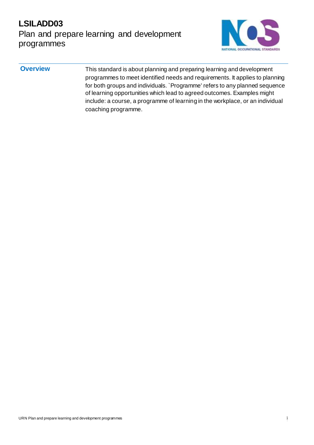# **LSILADD03** Plan and prepare learning and development programmes



**Overview** This standard is about planning and preparing learning and development programmes to meet identified needs and requirements. It applies to planning for both groups and individuals. `Programme' refers to any planned sequence of learning opportunities which lead to agreed outcomes. Examples might include: a course, a programme of learning in the workplace, or an individual coaching programme.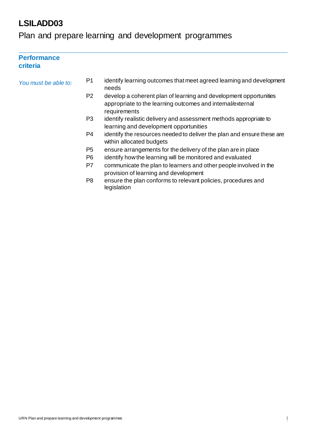**Performance** 

## Plan and prepare learning and development programmes

### **criteria** *You must be able to:* P1 identify learning outcomes that meet agreed learning and development needs P2 develop a coherent plan of learning and development opportunities appropriate to the learning outcomes and internal/external requirements P3 identify realistic delivery and assessment methods appropriate to learning and development opportunities P4 identify the resources needed to deliver the plan and ensure these are within allocated budgets P5 ensure arrangements for the delivery of the plan are in place P6 identify how the learning will be monitored and evaluated P7 communicate the plan to learners and other people involved in the provision of learning and development P8 ensure the plan conforms to relevant policies, procedures and legislation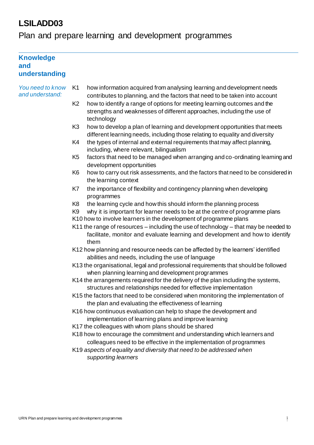# Plan and prepare learning and development programmes

| <b>Knowledge</b><br>and<br>understanding |                                                                                                                                                                                                                                                                   |  |  |  |  |  |  |
|------------------------------------------|-------------------------------------------------------------------------------------------------------------------------------------------------------------------------------------------------------------------------------------------------------------------|--|--|--|--|--|--|
| You need to know<br>and understand:      | K <sub>1</sub><br>how information acquired from analysing learning and development needs                                                                                                                                                                          |  |  |  |  |  |  |
|                                          | contributes to planning, and the factors that need to be taken into account<br>how to identify a range of options for meeting learning outcomes and the<br>K <sub>2</sub><br>strengths and weaknesses of different approaches, including the use of<br>technology |  |  |  |  |  |  |
|                                          | K <sub>3</sub><br>how to develop a plan of learning and development opportunities that meets<br>different learning needs, including those relating to equality and diversity                                                                                      |  |  |  |  |  |  |
|                                          | K4<br>the types of internal and external requirements that may affect planning,<br>including, where relevant, bilingualism                                                                                                                                        |  |  |  |  |  |  |
|                                          | K <sub>5</sub><br>factors that need to be managed when arranging and co-ordinating learning and<br>development opportunities                                                                                                                                      |  |  |  |  |  |  |
|                                          | K <sub>6</sub><br>how to carry out risk assessments, and the factors that need to be considered in<br>the learning context                                                                                                                                        |  |  |  |  |  |  |
|                                          | K7<br>the importance of flexibility and contingency planning when developing<br>programmes                                                                                                                                                                        |  |  |  |  |  |  |
|                                          | the learning cycle and how this should inform the planning process<br>K <sub>8</sub>                                                                                                                                                                              |  |  |  |  |  |  |
|                                          | why it is important for learner needs to be at the centre of programme plans<br>K <sub>9</sub><br>K10 how to involve learners in the development of programme plans                                                                                               |  |  |  |  |  |  |
|                                          | K11 the range of resources – including the use of technology – that may be needed to<br>facilitate, monitor and evaluate learning and development and how to identify<br>them                                                                                     |  |  |  |  |  |  |
|                                          | K12 how planning and resource needs can be affected by the learners' identified<br>abilities and needs, including the use of language                                                                                                                             |  |  |  |  |  |  |
|                                          | K13 the organisational, legal and professional requirements that should be followed<br>when planning learning and development programmes                                                                                                                          |  |  |  |  |  |  |
|                                          | K14 the arrangements required for the delivery of the plan including the systems,<br>structures and relationships needed for effective implementation                                                                                                             |  |  |  |  |  |  |
|                                          | K15 the factors that need to be considered when monitoring the implementation of<br>the plan and evaluating the effectiveness of learning                                                                                                                         |  |  |  |  |  |  |
|                                          | K16 how continuous evaluation can help to shape the development and<br>implementation of learning plans and improve learning                                                                                                                                      |  |  |  |  |  |  |
|                                          | K17 the colleagues with whom plans should be shared                                                                                                                                                                                                               |  |  |  |  |  |  |
|                                          | K18 how to encourage the commitment and understanding which learners and<br>colleagues need to be effective in the implementation of programmes                                                                                                                   |  |  |  |  |  |  |
|                                          | K19 aspects of equality and diversity that need to be addressed when<br>supporting learners                                                                                                                                                                       |  |  |  |  |  |  |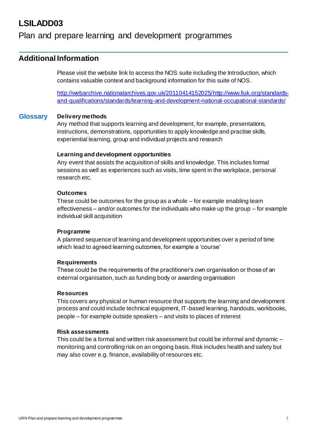### Plan and prepare learning and development programmes

### **Additional Information**

Please visit the website link to access the NOS suite including the Introduction, which contains valuable context and background information for this suite of NOS.

http://webarchive.nationalarchives.gov.uk/2011041415202[5/http://www.lluk.org/standards](http://www.lluk.org/standards-)and-qualifications/standards/learning-and-development-national-occupational-standards/

#### **Glossary Delivery methods**

Any method that supports learning and development, for example, presentations, instructions, demonstrations, opportunities to apply knowledge and practise skills, experiential learning, group and individual projects and research

#### **Learning and development opportunities**

Any event that assists the acquisition of skills and knowledge. This includes formal sessions as well as experiences such as visits, time spent in the workplace, personal research etc.

#### **Outcomes**

These could be outcomes for the group as a whole – for example enabling team effectiveness – and/or outcomes for the individuals who make up the group – for example individual skill acquisition

#### **Programme**

A planned sequence of learning and development opportunities over a period of time which lead to agreed learning outcomes, for example a 'course'

#### **Requirements**

These could be the requirements of the practitioner's own organisation or those of an external organisation, such as funding body or awarding organisation

#### **Resources**

This covers any physical or human resource that supports the learning and development process and could include technical equipment, IT-based learning, handouts, workbooks, people – for example outside speakers – and visits to places of interest

#### **Risk assessments**

This could be a formal and written risk assessment but could be informal and dynamic – monitoring and controlling risk on an ongoing basis. Risk includes health and safety but may also cover e.g. finance, availability of resources etc.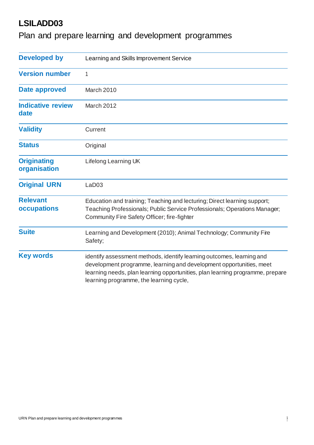Plan and prepare learning and development programmes

| <b>Developed by</b>                | Learning and Skills Improvement Service                                                                                                                                                                                                                                  |
|------------------------------------|--------------------------------------------------------------------------------------------------------------------------------------------------------------------------------------------------------------------------------------------------------------------------|
| <b>Version number</b>              | 1                                                                                                                                                                                                                                                                        |
| Date approved                      | March 2010                                                                                                                                                                                                                                                               |
| <b>Indicative review</b><br>date   | March 2012                                                                                                                                                                                                                                                               |
| <b>Validity</b>                    | Current                                                                                                                                                                                                                                                                  |
| <b>Status</b>                      | Original                                                                                                                                                                                                                                                                 |
| <b>Originating</b><br>organisation | Lifelong Learning UK                                                                                                                                                                                                                                                     |
| <b>Original URN</b>                | LaD <sub>03</sub>                                                                                                                                                                                                                                                        |
| <b>Relevant</b><br>occupations     | Education and training; Teaching and lecturing; Direct learning support;<br>Teaching Professionals; Public Service Professionals; Operations Manager;<br>Community Fire Safety Officer; fire-fighter                                                                     |
| <b>Suite</b>                       | Learning and Development (2010); Animal Technology; Community Fire<br>Safety;                                                                                                                                                                                            |
| <b>Key words</b>                   | identify assessment methods, identify learning outcomes, learning and<br>development programme, learning and development opportunities, meet<br>learning needs, plan learning opportunities, plan learning programme, prepare<br>learning programme, the learning cycle, |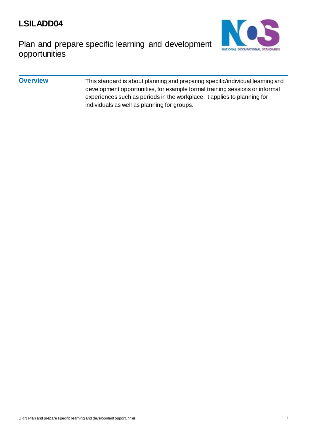

Plan and prepare specific learning and development opportunities

### **Overview** This standard is about planning and preparing specific/individual learning and development opportunities, for example formal training sessions or informal experiences such as periods in the workplace. It applies to planning for individuals as well as planning for groups.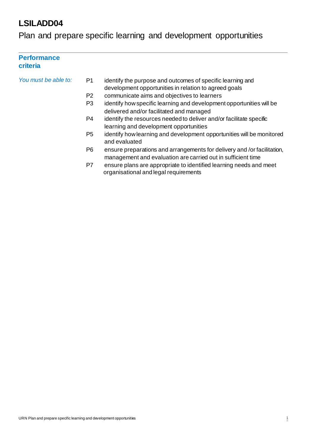Plan and prepare specific learning and development opportunities

### **Performance criteria**

| You must be able to: | P1             | identify the purpose and outcomes of specific learning and<br>development opportunities in relation to agreed goals                     |
|----------------------|----------------|-----------------------------------------------------------------------------------------------------------------------------------------|
|                      | P <sub>2</sub> | communicate aims and objectives to learners                                                                                             |
|                      | P <sub>3</sub> | identify how specific learning and development opportunities will be<br>delivered and/or facilitated and managed                        |
|                      | P4             | identify the resources needed to deliver and/or facilitate specific<br>learning and development opportunities                           |
|                      | P <sub>5</sub> | identify how learning and development opportunities will be monitored<br>and evaluated                                                  |
|                      | P6             | ensure preparations and arrangements for delivery and /or facilitation,<br>management and evaluation are carried out in sufficient time |
|                      | P7             | ensure plans are appropriate to identified learning needs and meet<br>organisational and legal requirements                             |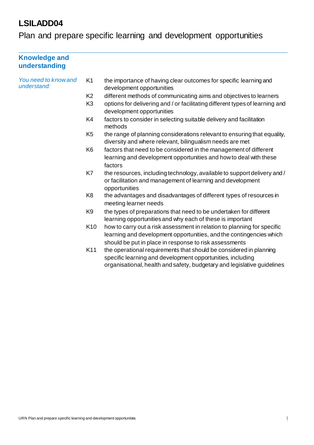Plan and prepare specific learning and development opportunities

| <b>Knowledge and</b><br>understanding |                 |                                                                                                                                                                                                             |
|---------------------------------------|-----------------|-------------------------------------------------------------------------------------------------------------------------------------------------------------------------------------------------------------|
| You need to know and<br>understand:   | K <sub>1</sub>  | the importance of having clear outcomes for specific learning and<br>development opportunities                                                                                                              |
|                                       | K <sub>2</sub>  | different methods of communicating aims and objectives to learners                                                                                                                                          |
|                                       | K <sub>3</sub>  | options for delivering and / or facilitating different types of learning and<br>development opportunities                                                                                                   |
|                                       | K4              | factors to consider in selecting suitable delivery and facilitation<br>methods                                                                                                                              |
|                                       | K <sub>5</sub>  | the range of planning considerations relevant to ensuring that equality,<br>diversity and where relevant, bilingualism needs are met                                                                        |
|                                       | K <sub>6</sub>  | factors that need to be considered in the management of different<br>learning and development opportunities and how to deal with these<br>factors                                                           |
|                                       | K7              | the resources, including technology, available to support delivery and /<br>or facilitation and management of learning and development<br>opportunities                                                     |
|                                       | K <sub>8</sub>  | the advantages and disadvantages of different types of resources in<br>meeting learner needs                                                                                                                |
|                                       | K <sub>9</sub>  | the types of preparations that need to be undertaken for different<br>learning opportunities and why each of these is important                                                                             |
|                                       | K <sub>10</sub> | how to carry out a risk assessment in relation to planning for specific<br>learning and development opportunities, and the contingencies which<br>should be put in place in response to risk assessments    |
|                                       | K11             | the operational requirements that should be considered in planning<br>specific learning and development opportunities, including<br>organisational, health and safety, budgetary and legislative guidelines |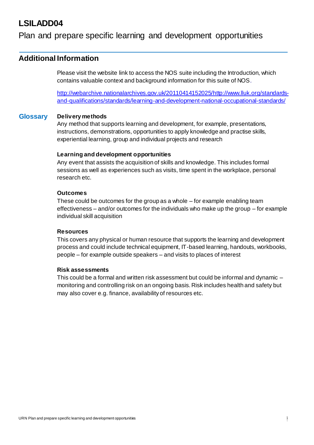### Plan and prepare specific learning and development opportunities

### **Additional Information**

Please visit the website link to access the NOS suite including the Introduction, which contains valuable context and background information for this suite of NOS.

http://webarchive.nationalarchives.gov.uk/2011041415202[5/http://www.lluk.org/standards](http://www.lluk.org/standards-)and-qualifications/standards/learning-and-development-national-occupational-standards/

#### **Glossary Delivery methods**

Any method that supports learning and development, for example, presentations, instructions, demonstrations, opportunities to apply knowledge and practise skills, experiential learning, group and individual projects and research

#### **Learning and development opportunities**

Any event that assists the acquisition of skills and knowledge. This includes formal sessions as well as experiences such as visits, time spent in the workplace, personal research etc.

#### **Outcomes**

These could be outcomes for the group as a whole – for example enabling team effectiveness – and/or outcomes for the individuals who make up the group – for example individual skill acquisition

#### **Resources**

This covers any physical or human resource that supports the learning and development process and could include technical equipment, IT-based learning, handouts, workbooks, people – for example outside speakers – and visits to places of interest

#### **Risk assessments**

This could be a formal and written risk assessment but could be informal and dynamic – monitoring and controlling risk on an ongoing basis. Risk includes health and safety but may also cover e.g. finance, availability of resources etc.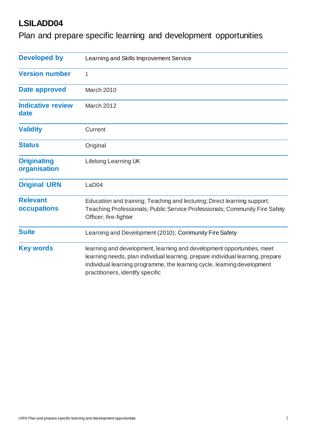Plan and prepare specific learning and development opportunities

| <b>Developed by</b>                | Learning and Skills Improvement Service                                                                                                                                                                                                                                 |  |  |
|------------------------------------|-------------------------------------------------------------------------------------------------------------------------------------------------------------------------------------------------------------------------------------------------------------------------|--|--|
| <b>Version number</b>              | 1                                                                                                                                                                                                                                                                       |  |  |
| Date approved                      | March 2010                                                                                                                                                                                                                                                              |  |  |
| <b>Indicative review</b><br>date   | March 2012                                                                                                                                                                                                                                                              |  |  |
| <b>Validity</b>                    | Current                                                                                                                                                                                                                                                                 |  |  |
| <b>Status</b>                      | Original                                                                                                                                                                                                                                                                |  |  |
| <b>Originating</b><br>organisation | Lifelong Learning UK                                                                                                                                                                                                                                                    |  |  |
| <b>Original URN</b>                | LaD04                                                                                                                                                                                                                                                                   |  |  |
| <b>Relevant</b><br>occupations     | Education and training; Teaching and lecturing; Direct learning support;<br>Teaching Professionals; Public Service Professionals; Community Fire Safety<br>Officer; fire-fighter                                                                                        |  |  |
| <b>Suite</b>                       | Learning and Development (2010); Community Fire Safety                                                                                                                                                                                                                  |  |  |
| <b>Key words</b>                   | learning and development, learning and development opportunities, meet<br>learning needs, plan individual learning, prepare individual learning, prepare<br>individual learning programme, the learning cycle, learning development<br>practitioners, identify specific |  |  |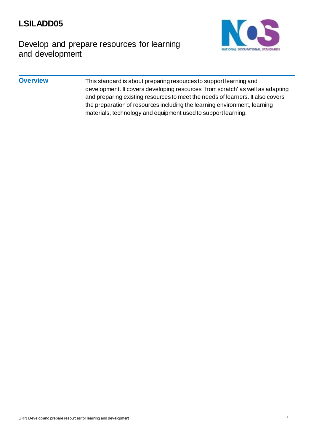

# Develop and prepare resources for learning and development

### **Overview** This standard is about preparing resources to support learning and development. It covers developing resources `from scratch' as well as adapting and preparing existing resources to meet the needs of learners. It also covers the preparation of resources including the learning environment, learning materials, technology and equipment used to support learning.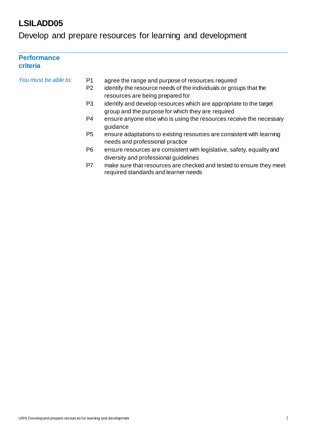Develop and prepare resources for learning and development

### **Performance criteria**

| You must be able to: | P1<br>P <sub>2</sub> | agree the range and purpose of resources required<br>identify the resource needs of the individuals or groups that the<br>resources are being prepared for |
|----------------------|----------------------|------------------------------------------------------------------------------------------------------------------------------------------------------------|
|                      | P <sub>3</sub>       | identify and develop resources which are appropriate to the target<br>group and the purpose for which they are required                                    |
|                      | P4                   | ensure anyone else who is using the resources receive the necessary<br>guidance                                                                            |
|                      | P <sub>5</sub>       | ensure adaptations to existing resources are consistent with learning<br>needs and professional practice                                                   |
|                      | P6                   | ensure resources are consistent with legislative, safety, equality and<br>diversity and professional guidelines                                            |
|                      | P7                   | make sure that resources are checked and tested to ensure they meet<br>required standards and learner needs                                                |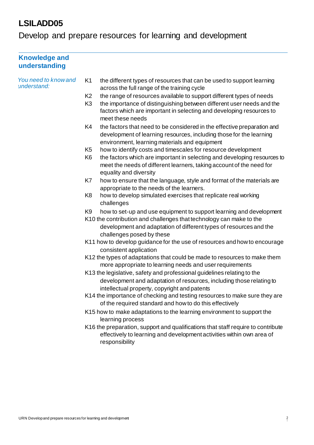Develop and prepare resources for learning and development

| <b>Knowledge and</b><br>understanding |                                                                                                                                                                                                                                                                 |                                                                                                                                                                                                 |  |  |
|---------------------------------------|-----------------------------------------------------------------------------------------------------------------------------------------------------------------------------------------------------------------------------------------------------------------|-------------------------------------------------------------------------------------------------------------------------------------------------------------------------------------------------|--|--|
| You need to know and<br>understand:   | K <sub>1</sub>                                                                                                                                                                                                                                                  | the different types of resources that can be used to support learning<br>across the full range of the training cycle                                                                            |  |  |
|                                       | K <sub>2</sub>                                                                                                                                                                                                                                                  | the range of resources available to support different types of needs                                                                                                                            |  |  |
|                                       | K <sub>3</sub>                                                                                                                                                                                                                                                  | the importance of distinguishing between different user needs and the<br>factors which are important in selecting and developing resources to<br>meet these needs                               |  |  |
|                                       | K4                                                                                                                                                                                                                                                              | the factors that need to be considered in the effective preparation and<br>development of learning resources, including those for the learning<br>environment, learning materials and equipment |  |  |
|                                       | K <sub>5</sub>                                                                                                                                                                                                                                                  | how to identify costs and timescales for resource development                                                                                                                                   |  |  |
|                                       | K <sub>6</sub>                                                                                                                                                                                                                                                  | the factors which are important in selecting and developing resources to<br>meet the needs of different learners, taking account of the need for<br>equality and diversity                      |  |  |
|                                       | K7                                                                                                                                                                                                                                                              | how to ensure that the language, style and format of the materials are<br>appropriate to the needs of the learners.                                                                             |  |  |
|                                       | K <sub>8</sub>                                                                                                                                                                                                                                                  | how to develop simulated exercises that replicate real working<br>challenges                                                                                                                    |  |  |
|                                       | K <sub>9</sub><br>how to set-up and use equipment to support learning and development<br>K10 the contribution and challenges that technology can make to the<br>development and adaptation of different types of resources and the<br>challenges posed by these |                                                                                                                                                                                                 |  |  |
|                                       | K11 how to develop guidance for the use of resources and how to encourage<br>consistent application                                                                                                                                                             |                                                                                                                                                                                                 |  |  |
|                                       | K12 the types of adaptations that could be made to resources to make them<br>more appropriate to learning needs and user requirements                                                                                                                           |                                                                                                                                                                                                 |  |  |
|                                       | K13 the legislative, safety and professional guidelines relating to the<br>development and adaptation of resources, including those relating to<br>intellectual property, copyright and patents                                                                 |                                                                                                                                                                                                 |  |  |
|                                       | K14 the importance of checking and testing resources to make sure they are<br>of the required standard and how to do this effectively                                                                                                                           |                                                                                                                                                                                                 |  |  |
|                                       | K15 how to make adaptations to the learning environment to support the<br>learning process                                                                                                                                                                      |                                                                                                                                                                                                 |  |  |
|                                       | K16 the preparation, support and qualifications that staff require to contribute<br>effectively to learning and development activities within own area of<br>responsibility                                                                                     |                                                                                                                                                                                                 |  |  |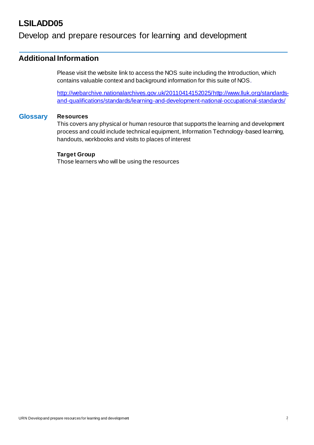### Develop and prepare resources for learning and development

### **Additional Information**

Please visit the website link to access the NOS suite including the Introduction, which contains valuable context and background information for this suite of NOS.

http://webarchive.nationalarchives.gov.uk/2011041415202[5/http://www.lluk.org/standards](http://www.lluk.org/standards-)and-qualifications/standards/learning-and-development-national-occupational-standards/

#### **Glossary Resources**

This covers any physical or human resource that supports the learning and development process and could include technical equipment, Information Technology-based learning, handouts, workbooks and visits to places of interest

### **Target Group**

Those learners who will be using the resources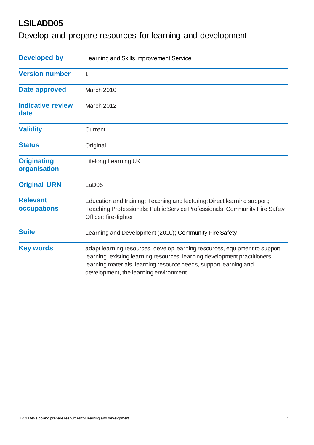Develop and prepare resources for learning and development

| <b>Developed by</b>                | Learning and Skills Improvement Service                                                                                                                                                                                                                                |  |  |
|------------------------------------|------------------------------------------------------------------------------------------------------------------------------------------------------------------------------------------------------------------------------------------------------------------------|--|--|
| <b>Version number</b>              | 1                                                                                                                                                                                                                                                                      |  |  |
| Date approved                      | March 2010                                                                                                                                                                                                                                                             |  |  |
| <b>Indicative review</b><br>date   | March 2012                                                                                                                                                                                                                                                             |  |  |
| <b>Validity</b>                    | Current                                                                                                                                                                                                                                                                |  |  |
| <b>Status</b>                      | Original                                                                                                                                                                                                                                                               |  |  |
| <b>Originating</b><br>organisation | Lifelong Learning UK                                                                                                                                                                                                                                                   |  |  |
| <b>Original URN</b>                | LaD <sub>05</sub>                                                                                                                                                                                                                                                      |  |  |
| <b>Relevant</b><br>occupations     | Education and training; Teaching and lecturing; Direct learning support;<br>Teaching Professionals; Public Service Professionals; Community Fire Safety<br>Officer; fire-fighter                                                                                       |  |  |
| <b>Suite</b>                       | Learning and Development (2010); Community Fire Safety                                                                                                                                                                                                                 |  |  |
| <b>Key words</b>                   | adapt learning resources, develop learning resources, equipment to support<br>learning, existing learning resources, learning development practitioners,<br>learning materials, learning resource needs, support learning and<br>development, the learning environment |  |  |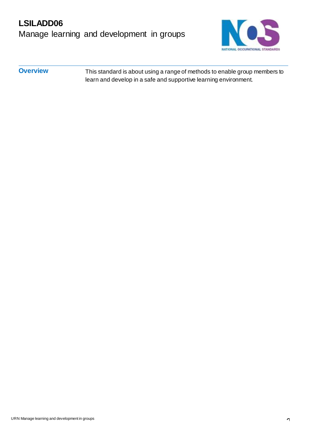# **LSILADD06** Manage learning and development in groups



**Overview** This standard is about using a range of methods to enable group members to learn and develop in a safe and supportive learning environment.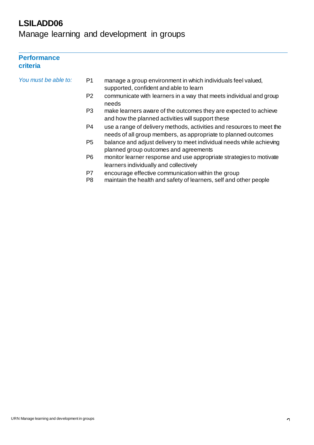Manage learning and development in groups

### **Performance criteria**

| You must be able to: | P1                   | manage a group environment in which individuals feel valued,<br>supported, confident and able to learn                                  |
|----------------------|----------------------|-----------------------------------------------------------------------------------------------------------------------------------------|
|                      | P <sub>2</sub>       | communicate with learners in a way that meets individual and group<br>needs                                                             |
|                      | P3                   | make learners aware of the outcomes they are expected to achieve<br>and how the planned activities will support these                   |
|                      | P4                   | use a range of delivery methods, activities and resources to meet the<br>needs of all group members, as appropriate to planned outcomes |
|                      | P <sub>5</sub>       | balance and adjust delivery to meet individual needs while achieving<br>planned group outcomes and agreements                           |
|                      | P <sub>6</sub>       | monitor learner response and use appropriate strategies to motivate<br>learners individually and collectively                           |
|                      | P7<br>P <sub>8</sub> | encourage effective communication within the group<br>maintain the health and safety of learners, self and other people                 |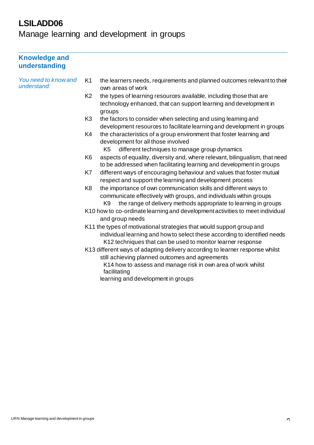Manage learning and development in groups

| <b>Knowledge and</b><br>understanding |                                                                                                                                                                                                                   |                                                                                                                                                                                                                 |  |  |  |
|---------------------------------------|-------------------------------------------------------------------------------------------------------------------------------------------------------------------------------------------------------------------|-----------------------------------------------------------------------------------------------------------------------------------------------------------------------------------------------------------------|--|--|--|
| You need to know and<br>understand:   | K <sub>1</sub>                                                                                                                                                                                                    | the learners needs, requirements and planned outcomes relevant to their<br>own areas of work                                                                                                                    |  |  |  |
|                                       | K <sub>2</sub>                                                                                                                                                                                                    | the types of learning resources available, including those that are<br>technology enhanced, that can support learning and development in<br>groups                                                              |  |  |  |
|                                       | K <sub>3</sub>                                                                                                                                                                                                    | the factors to consider when selecting and using learning and<br>development resources to facilitate learning and development in groups                                                                         |  |  |  |
|                                       | K4                                                                                                                                                                                                                | the characteristics of a group environment that foster learning and<br>development for all those involved<br>different techniques to manage group dynamics<br>K <sub>5</sub>                                    |  |  |  |
|                                       | K <sub>6</sub>                                                                                                                                                                                                    | aspects of equality, diversity and, where relevant, bilingualism, that need<br>to be addressed when facilitating learning and development in groups                                                             |  |  |  |
|                                       | K7                                                                                                                                                                                                                | different ways of encouraging behaviour and values that foster mutual<br>respect and support the learning and development process                                                                               |  |  |  |
|                                       | K <sub>8</sub>                                                                                                                                                                                                    | the importance of own communication skills and different ways to<br>communicate effectively with groups, and individuals within groups<br>the range of delivery methods appropriate to learning in groups<br>K9 |  |  |  |
|                                       |                                                                                                                                                                                                                   | K10 how to co-ordinate learning and development activities to meet individual<br>and group needs                                                                                                                |  |  |  |
|                                       | K11 the types of motivational strategies that would support group and<br>individual learning and how to select these according to identified needs<br>K12 techniques that can be used to monitor learner response |                                                                                                                                                                                                                 |  |  |  |
|                                       |                                                                                                                                                                                                                   | K13 different ways of adapting delivery according to learner response whilst<br>still achieving planned outcomes and agreements<br>K14 how to assess and manage risk in own area of work whilst<br>facilitating |  |  |  |
|                                       |                                                                                                                                                                                                                   | learning and development in groups                                                                                                                                                                              |  |  |  |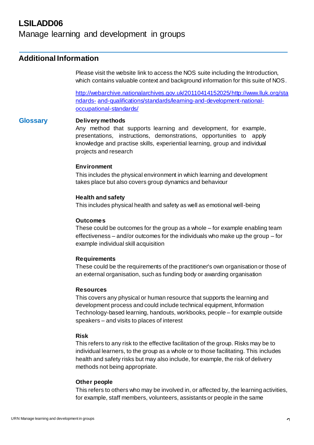### Manage learning and development in groups

### **Additional Information**

Please visit the website link to access the NOS suite including the Introduction, which contains valuable context and background information for this suite of NOS.

http://webarchive.nationalarchives.gov.uk/2011041415202[5/http://www.lluk.org/sta](http://www.lluk.org/standards-) [ndards-](http://www.lluk.org/standards-) and-qualifications/standards/learning-and-development-nationaloccupational-standards/

### **Glossary Delivery methods**

Any method that supports learning and development, for example, presentations, instructions, demonstrations, opportunities to apply knowledge and practise skills, experiential learning, group and individual projects and research

#### **Environment**

This includes the physical environment in which learning and development takes place but also covers group dynamics and behaviour

#### **Health and safety**

This includes physical health and safety as well as emotional well-being

#### **Outcomes**

These could be outcomes for the group as a whole – for example enabling team effectiveness – and/or outcomes for the individuals who make up the group – for example individual skill acquisition

#### **Requirements**

These could be the requirements of the practitioner's own organisation or those of an external organisation, such as funding body or awarding organisation

#### **Resources**

This covers any physical or human resource that supports the learning and development process and could include technical equipment, Information Technology-based learning, handouts, workbooks, people – for example outside speakers – and visits to places of interest

#### **Risk**

This refers to any risk to the effective facilitation of the group. Risks may be to individual learners, to the group as a whole or to those facilitating. This includes health and safety risks but may also include, for example, the risk of delivery methods not being appropriate.

#### **Other people**

This refers to others who may be involved in, or affected by, the learning activities, for example, staff members, volunteers, assistants or people in the same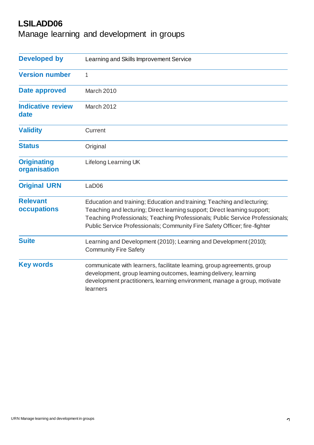Manage learning and development in groups

| <b>Developed by</b>                | Learning and Skills Improvement Service                                                                                                                                                                                                                                                                            |  |  |  |
|------------------------------------|--------------------------------------------------------------------------------------------------------------------------------------------------------------------------------------------------------------------------------------------------------------------------------------------------------------------|--|--|--|
| <b>Version number</b>              | 1                                                                                                                                                                                                                                                                                                                  |  |  |  |
| <b>Date approved</b>               | March 2010                                                                                                                                                                                                                                                                                                         |  |  |  |
| <b>Indicative review</b><br>date   | March 2012                                                                                                                                                                                                                                                                                                         |  |  |  |
| <b>Validity</b>                    | Current                                                                                                                                                                                                                                                                                                            |  |  |  |
| <b>Status</b>                      | Original                                                                                                                                                                                                                                                                                                           |  |  |  |
| <b>Originating</b><br>organisation | Lifelong Learning UK                                                                                                                                                                                                                                                                                               |  |  |  |
| <b>Original URN</b>                | LaD <sub>06</sub>                                                                                                                                                                                                                                                                                                  |  |  |  |
| <b>Relevant</b><br>occupations     | Education and training; Education and training; Teaching and lecturing;<br>Teaching and lecturing; Direct learning support; Direct learning support;<br>Teaching Professionals; Teaching Professionals; Public Service Professionals;<br>Public Service Professionals; Community Fire Safety Officer; fire-fighter |  |  |  |
| <b>Suite</b>                       | Learning and Development (2010); Learning and Development (2010);<br><b>Community Fire Safety</b>                                                                                                                                                                                                                  |  |  |  |
| <b>Key words</b>                   | communicate with learners, facilitate learning, group agreements, group<br>development, group learning outcomes, learning delivery, learning<br>development practitioners, learning environment, manage a group, motivate<br>learners                                                                              |  |  |  |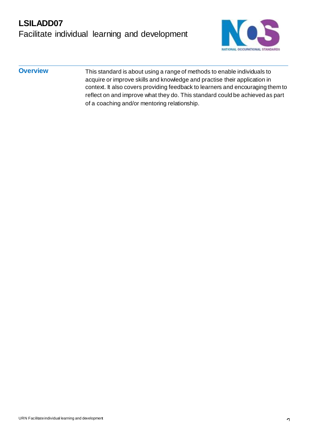

**Overview** This standard is about using a range of methods to enable individuals to acquire or improve skills and knowledge and practise their application in context. It also covers providing feedback to learners and encouraging them to reflect on and improve what they do. This standard could be achieved as part of a coaching and/or mentoring relationship.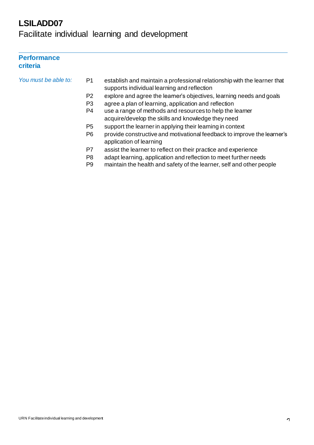Facilitate individual learning and development

### **Performance criteria**

| You must be able to: | P1             | establish and maintain a professional relationship with the learner that<br>supports individual learning and reflection |
|----------------------|----------------|-------------------------------------------------------------------------------------------------------------------------|
|                      | P <sub>2</sub> | explore and agree the learner's objectives, learning needs and goals                                                    |
|                      | P <sub>3</sub> | agree a plan of learning, application and reflection                                                                    |
|                      | P <sub>4</sub> | use a range of methods and resources to help the learner                                                                |
|                      |                | acquire/develop the skills and knowledge they need                                                                      |
|                      | P <sub>5</sub> | support the learner in applying their learning in context                                                               |
|                      | P <sub>6</sub> | provide constructive and motivational feedback to improve the learner's<br>application of learning                      |
|                      | P7             | assist the learner to reflect on their practice and experience                                                          |
|                      | P <sub>8</sub> | adapt learning, application and reflection to meet further needs                                                        |
|                      | P9             | maintain the health and safety of the learner, self and other people                                                    |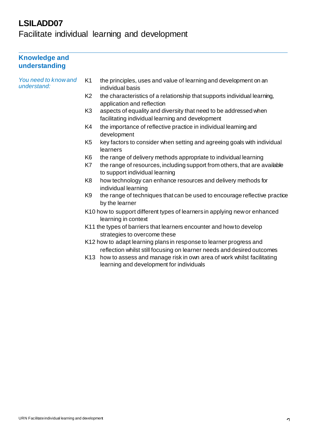Facilitate individual learning and development

### **Knowledge and understanding**

*You need to know and understand:*

- K1 the principles, uses and value of learning and development on an individual basis
- K2 the characteristics of a relationship that supports individual learning, application and reflection
- K3 aspects of equality and diversity that need to be addressed when facilitating individual learning and development
- K4 the importance of reflective practice in individual learning and development
- K5 key factors to consider when setting and agreeing goals with individual learners
- K6 the range of delivery methods appropriate to individual learning
- K7 the range of resources, including support from others, that are available to support individual learning
- K8 how technology can enhance resources and delivery methods for individual learning
- K9 the range of techniques that can be used to encourage reflective practice by the learner
- K10 how to support different types of learners in applying new or enhanced learning in context
- K11 the types of barriers that learners encounter and how to develop strategies to overcome these
- K12 how to adapt learning plans in response to learner progress and reflection whilst still focusing on learner needs and desired outcomes
- K13 how to assess and manage risk in own area of work whilst facilitating learning and development for individuals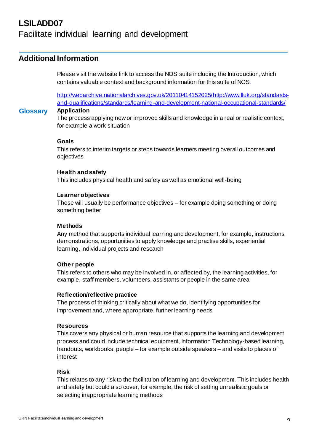### Facilitate individual learning and development

### **Additional Information**

Please visit the website link to access the NOS suite including the Introduction, which contains valuable context and background information for this suite of NOS.

http://webarchive.nationalarchives.gov.uk/2011041415202[5/http://www.lluk.org/standards](http://www.lluk.org/standards-)and-qualifications/standards/learning-and-development-national-occupational-standards/

### **Glossary Application**

The process applying new or improved skills and knowledge in a real or realistic context, for example a work situation

#### **Goals**

This refers to interim targets or steps towards learners meeting overall outcomes and objectives

#### **Health and safety**

This includes physical health and safety as well as emotional well-being

#### **Learner objectives**

These will usually be performance objectives – for example doing something or doing something better

### **Methods**

Any method that supports individual learning and development, for example, instructions, demonstrations, opportunities to apply knowledge and practise skills, experiential learning, individual projects and research

#### **Other people**

This refers to others who may be involved in, or affected by, the learning activities, for example, staff members, volunteers, assistants or people in the same area

#### **Reflection/reflective practice**

The process of thinking critically about what we do, identifying opportunities for improvement and, where appropriate, further learning needs

#### **Resources**

This covers any physical or human resource that supports the learning and development process and could include technical equipment, Information Technology-based learning, handouts, workbooks, people – for example outside speakers – and visits to places of interest

#### **Risk**

This relates to any risk to the facilitation of learning and development. This includes health and safety but could also cover, for example, the risk of setting unrealistic goals or selecting inappropriate learning methods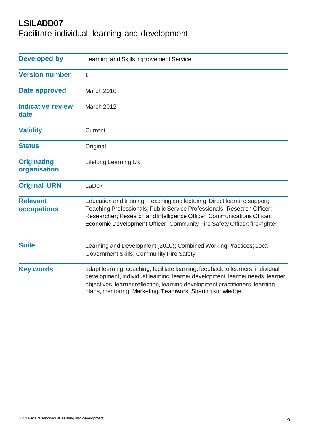Facilitate individual learning and development

| <b>Developed by</b>                | Learning and Skills Improvement Service                                                                                                                                                                                                                                                                      |  |  |
|------------------------------------|--------------------------------------------------------------------------------------------------------------------------------------------------------------------------------------------------------------------------------------------------------------------------------------------------------------|--|--|
| <b>Version number</b>              | 1                                                                                                                                                                                                                                                                                                            |  |  |
| Date approved                      | March 2010                                                                                                                                                                                                                                                                                                   |  |  |
| <b>Indicative review</b><br>date   | March 2012                                                                                                                                                                                                                                                                                                   |  |  |
| <b>Validity</b>                    | Current                                                                                                                                                                                                                                                                                                      |  |  |
| <b>Status</b>                      | Original                                                                                                                                                                                                                                                                                                     |  |  |
| <b>Originating</b><br>organisation | <b>Lifelong Learning UK</b>                                                                                                                                                                                                                                                                                  |  |  |
| <b>Original URN</b>                | LaD <sub>07</sub>                                                                                                                                                                                                                                                                                            |  |  |
| <b>Relevant</b><br>occupations     | Education and training; Teaching and lecturing; Direct learning support;<br>Teaching Professionals; Public Service Professionals; Research Officer;<br>Researcher; Research and Intelligence Officer; Communications Officer;<br>Economic Development Officer; Community Fire Safety Officer; fire-fighter   |  |  |
| <b>Suite</b>                       | Learning and Development (2010); Combined Working Practices; Local<br>Government Skills; Community Fire Safety                                                                                                                                                                                               |  |  |
| <b>Key words</b>                   | adapt learning, coaching, facilitate learning, feedback to learners, individual<br>development, individual learning, learner development, learner needs, learner<br>objectives, learner reflection, learning development practitioners, learning<br>plans, mentoring, Marketing, Teamwork, Sharing knowledge |  |  |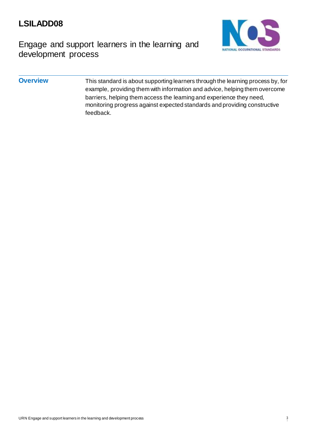Engage and support learners in the learning and development process



**Overview** This standard is about supporting learners through the learning process by, for example, providing them with information and advice, helping them overcome barriers, helping them access the learning and experience they need, monitoring progress against expected standards and providing constructive feedback.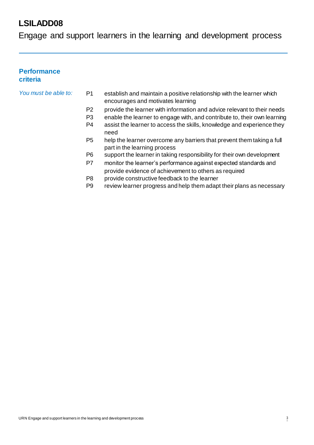Engage and support learners in the learning and development process

### **Performance criteria**

- *You must be able to:* P1 establish and maintain a positive relationship with the learner which encourages and motivates learning
	- P2 provide the learner with information and advice relevant to their needs
	- P3 enable the learner to engage with, and contribute to, their own learning
	- P4 assist the learner to access the skills, knowledge and experience they need
	- P5 help the learner overcome any barriers that prevent them taking a full part in the learning process
	- P6 support the learner in taking responsibility for their own development
	- P7 monitor the learner's performance against expected standards and provide evidence of achievement to others as required
	- P8 provide constructive feedback to the learner
	- P9 review learner progress and help them adapt their plans as necessary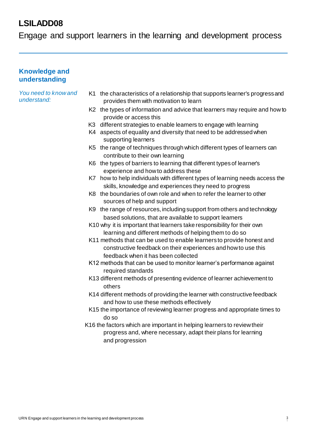Engage and support learners in the learning and development process

### **Knowledge and understanding**

*You need to know and understand:*

- K1 the characteristics of a relationship that supports learner's progressand provides them with motivation to learn
- K2 the types of information and advice that learners may require and how to provide or access this
- K3 different strategies to enable learners to engage with learning
- K4 aspects of equality and diversity that need to be addressed when supporting learners
- K5 the range of techniques through which different types of learners can contribute to their own learning
- K6 the types of barriers to learning that different types of learner's experience and how to address these
- K7 how to help individuals with different types of learning needs access the skills, knowledge and experiences they need to progress
- K8 the boundaries of own role and when to refer the learner to other sources of help and support
- K9 the range of resources, including support from others and technology based solutions, that are available to support learners
- K10 why it is important that learners take responsibility for their own learning and different methods of helping them to do so
- K11 methods that can be used to enable learners to provide honest and constructive feedback on their experiences and how to use this feedback when it has been collected
- K12 methods that can be used to monitor learner's performance against required standards
- K13 different methods of presenting evidence of learner achievement to others
- K14 different methods of providing the learner with constructive feedback and how to use these methods effectively
- K15 the importance of reviewing learner progress and appropriate times to do so
- K16 the factors which are important in helping learners to review their progress and, where necessary, adapt their plans for learning and progression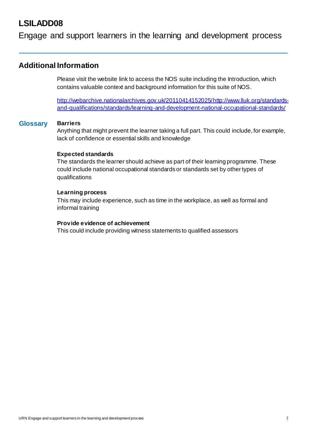### Engage and support learners in the learning and development process

### **Additional Information**

Please visit the website link to access the NOS suite including the Introduction, which contains valuable context and background information for this suite of NOS.

http://webarchive.nationalarchives.gov.uk/2011041415202[5/http://www.lluk.org/standards](http://www.lluk.org/standards-)and-qualifications/standards/learning-and-development-national-occupational-standards/

#### **Glossary Barriers**

Anything that might prevent the learner taking a full part. This could include, for example, lack of confidence or essential skills and knowledge

#### **Expected standards**

The standards the learner should achieve as part of their learning programme. These could include national occupational standards or standards set by other types of qualifications

#### **Learning process**

This may include experience, such as time in the workplace, as well as formal and informal training

#### **Provide evidence of achievement**

This could include providing witness statements to qualified assessors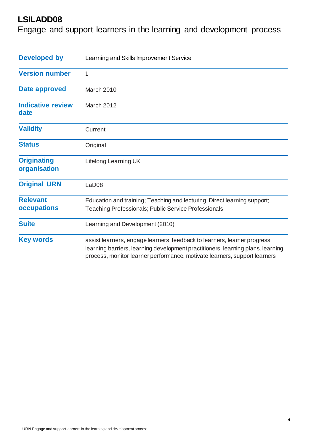Engage and support learners in the learning and development process

| <b>Developed by</b>                | Learning and Skills Improvement Service                                                                                                                                                                                                   |  |  |
|------------------------------------|-------------------------------------------------------------------------------------------------------------------------------------------------------------------------------------------------------------------------------------------|--|--|
| <b>Version number</b>              | 1                                                                                                                                                                                                                                         |  |  |
| Date approved                      | March 2010                                                                                                                                                                                                                                |  |  |
| <b>Indicative review</b><br>date   | March 2012                                                                                                                                                                                                                                |  |  |
| <b>Validity</b>                    | Current                                                                                                                                                                                                                                   |  |  |
| <b>Status</b>                      | Original                                                                                                                                                                                                                                  |  |  |
| <b>Originating</b><br>organisation | Lifelong Learning UK                                                                                                                                                                                                                      |  |  |
| <b>Original URN</b>                | LaD <sub>08</sub>                                                                                                                                                                                                                         |  |  |
| <b>Relevant</b><br>occupations     | Education and training; Teaching and lecturing; Direct learning support;<br><b>Teaching Professionals; Public Service Professionals</b>                                                                                                   |  |  |
| <b>Suite</b>                       | Learning and Development (2010)                                                                                                                                                                                                           |  |  |
| <b>Key words</b>                   | assist learners, engage learners, feedback to learners, learner progress,<br>learning barriers, learning development practitioners, learning plans, learning<br>process, monitor learner performance, motivate learners, support learners |  |  |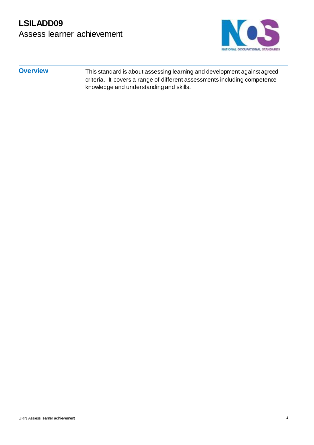# **LSILADD09** Assess learner achievement



**Overview** This standard is about assessing learning and development against agreed criteria. It covers a range of different assessments including competence, knowledge and understanding and skills.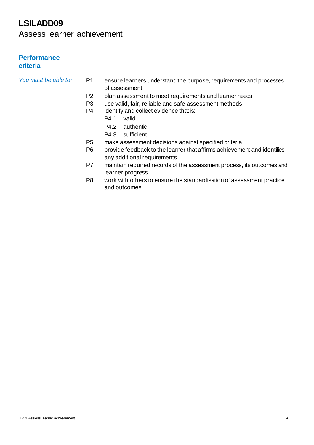Assess learner achievement

### **Performance criteria**

*You must be able to:* P1 ensure learners understand the purpose, requirements and processes of assessment

- P2 plan assessment to meet requirements and learner needs
- P3 use valid, fair, reliable and safe assessment methods
- P4 identify and collect evidence that is:
	- P4.1 valid
	- P4.2 authentic
	- P4.3 sufficient
- P5 make assessment decisions against specified criteria
- P6 provide feedback to the learner that affirms achievement and identifies any additional requirements
- P7 maintain required records of the assessment process, its outcomes and learner progress
- P8 work with others to ensure the standardisation of assessment practice and outcomes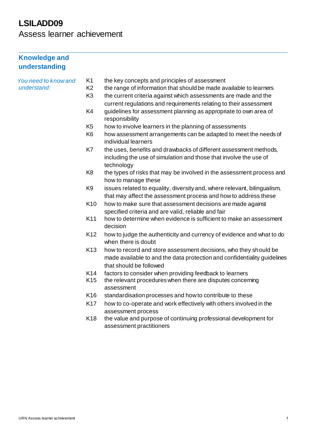Assess learner achievement

### **Knowledge and understanding**

| You need to know and |                 |                                                                                                                                                                         |
|----------------------|-----------------|-------------------------------------------------------------------------------------------------------------------------------------------------------------------------|
| understand:          | K <sub>1</sub>  | the key concepts and principles of assessment                                                                                                                           |
|                      | K <sub>2</sub>  | the range of information that should be made available to learners                                                                                                      |
|                      | K <sub>3</sub>  | the current criteria against which assessments are made and the                                                                                                         |
|                      |                 | current regulations and requirements relating to their assessment                                                                                                       |
|                      | K4              | guidelines for assessment planning as appropriate to own area of                                                                                                        |
|                      |                 | responsibility                                                                                                                                                          |
|                      | K <sub>5</sub>  | how to involve learners in the planning of assessments                                                                                                                  |
|                      | K <sub>6</sub>  | how assessment arrangements can be adapted to meet the needs of<br>individual learners                                                                                  |
|                      | K7              | the uses, benefits and drawbacks of different assessment methods,<br>including the use of simulation and those that involve the use of<br>technology                    |
|                      | K <sub>8</sub>  | the types of risks that may be involved in the assessment process and<br>how to manage these                                                                            |
|                      | K <sub>9</sub>  | issues related to equality, diversity and, where relevant, bilingualism,<br>that may affect the assessment process and how to address these                             |
|                      | K <sub>10</sub> | how to make sure that assessment decisions are made against                                                                                                             |
|                      |                 | specified criteria and are valid, reliable and fair                                                                                                                     |
|                      | K11             | how to determine when evidence is sufficient to make an assessment                                                                                                      |
|                      |                 | decision                                                                                                                                                                |
|                      | K <sub>12</sub> | how to judge the authenticity and currency of evidence and what to do<br>when there is doubt                                                                            |
|                      | K <sub>13</sub> | how to record and store assessment decisions, who they should be<br>made available to and the data protection and confidentiality guidelines<br>that should be followed |
|                      | K14             | factors to consider when providing feedback to learners                                                                                                                 |
|                      | K <sub>15</sub> | the relevant procedures when there are disputes concerning<br>assessment                                                                                                |
|                      | K <sub>16</sub> | standardisation processes and how to contribute to these                                                                                                                |
|                      | K17             | how to co-operate and work effectively with others involved in the                                                                                                      |
|                      |                 |                                                                                                                                                                         |
|                      |                 | assessment process                                                                                                                                                      |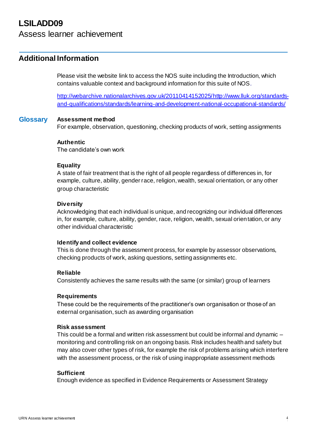### Assess learner achievement

### **Additional Information**

Please visit the website link to access the NOS suite including the Introduction, which contains valuable context and background information for this suite of NOS.

http://webarchive.nationalarchives.gov.uk/2011041415202[5/http://www.lluk.org/standards](http://www.lluk.org/standards-)and-qualifications/standards/learning-and-development-national-occupational-standards/

#### **Glossary Assessment method**

For example, observation, questioning, checking products of work, setting assignments

#### **Authentic**

The candidate's own work

#### **Equality**

A state of fair treatment that is the right of all people regardless of differences in, for example, culture, ability, gender race, religion, wealth, sexual orientation, or any other group characteristic

#### **Diversity**

Acknowledging that each individual is unique, and recognizing our individual differences in, for example, culture, ability, gender, race, religion, wealth, sexual orientation, or any other individual characteristic

#### **Identify and collect evidence**

This is done through the assessment process, for example by assessor observations, checking products of work, asking questions, setting assignments etc.

#### **Reliable**

Consistently achieves the same results with the same (or similar) group of learners

#### **Requirements**

These could be the requirements of the practitioner's own organisation or those of an external organisation, such as awarding organisation

#### **Risk assessment**

This could be a formal and written risk assessment but could be informal and dynamic – monitoring and controlling risk on an ongoing basis. Risk includes health and safety but may also cover other types of risk, for example the risk of problems arising which interfere with the assessment process, or the risk of using inappropriate assessment methods

#### **Sufficient**

Enough evidence as specified in Evidence Requirements or Assessment Strategy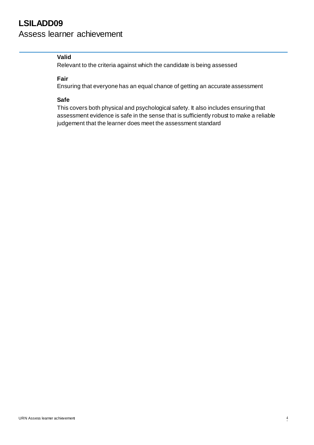### Assess learner achievement

### **Valid**

Relevant to the criteria against which the candidate is being assessed

#### **Fair**

Ensuring that everyone has an equal chance of getting an accurate assessment

### **Safe**

This covers both physical and psychological safety. It also includes ensuring that assessment evidence is safe in the sense that is sufficiently robust to make a reliable judgement that the learner does meet the assessment standard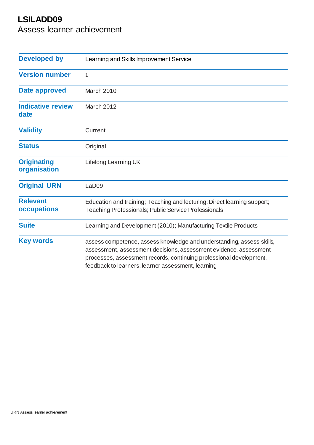Assess learner achievement

| <b>Developed by</b>                | Learning and Skills Improvement Service                                                                                                                                                                                                                                 |  |  |  |
|------------------------------------|-------------------------------------------------------------------------------------------------------------------------------------------------------------------------------------------------------------------------------------------------------------------------|--|--|--|
| <b>Version number</b>              | 1                                                                                                                                                                                                                                                                       |  |  |  |
| Date approved                      | March 2010                                                                                                                                                                                                                                                              |  |  |  |
| <b>Indicative review</b><br>date   | <b>March 2012</b>                                                                                                                                                                                                                                                       |  |  |  |
| <b>Validity</b>                    | Current                                                                                                                                                                                                                                                                 |  |  |  |
| <b>Status</b>                      | Original                                                                                                                                                                                                                                                                |  |  |  |
| <b>Originating</b><br>organisation | Lifelong Learning UK                                                                                                                                                                                                                                                    |  |  |  |
| <b>Original URN</b>                | LaD09                                                                                                                                                                                                                                                                   |  |  |  |
| <b>Relevant</b><br>occupations     | Education and training; Teaching and lecturing; Direct learning support;<br>Teaching Professionals; Public Service Professionals                                                                                                                                        |  |  |  |
| <b>Suite</b>                       | Learning and Development (2010); Manufacturing Textile Products                                                                                                                                                                                                         |  |  |  |
| <b>Key words</b>                   | assess competence, assess knowledge and understanding, assess skills,<br>assessment, assessment decisions, assessment evidence, assessment<br>processes, assessment records, continuing professional development,<br>feedback to learners, learner assessment, learning |  |  |  |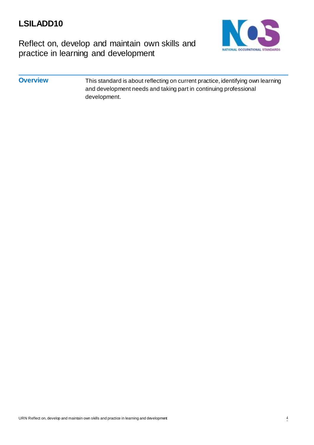

Reflect on, develop and maintain own skills and practice in learning and development

### **Overview** This standard is about reflecting on current practice, identifying own learning and development needs and taking part in continuing professional development.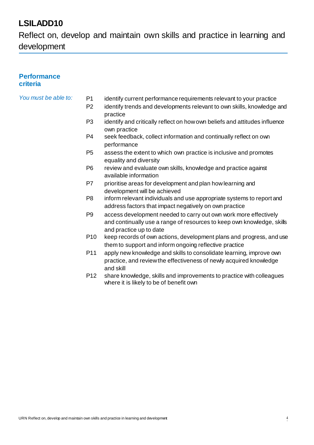Reflect on, develop and maintain own skills and practice in learning and development

### **Performance criteria**

- *You must be able to:* P1 identify current performance requirements relevant to your practice
	- P2 identify trends and developments relevant to own skills, knowledge and practice
	- P3 identify and critically reflect on how own beliefs and attitudes influence own practice
	- P4 seek feedback, collect information and continually reflect on own performance
	- P5 assess the extent to which own practice is inclusive and promotes equality and diversity
	- P6 review and evaluate own skills, knowledge and practice against available information
	- P7 prioritise areas for development and plan how learning and development will be achieved
	- P8 inform relevant individuals and use appropriate systems to report and address factors that impact negatively on own practice
	- P9 access development needed to carry out own work more effectively and continually use a range of resources to keep own knowledge, skills and practice up to date
	- P10 keep records of own actions, development plans and progress, and use them to support and inform ongoing reflective practice
	- P11 apply new knowledge and skills to consolidate learning, improve own practice, and review the effectiveness of newly acquired knowledge and skill
	- P12 share knowledge, skills and improvements to practice with colleagues where it is likely to be of benefit own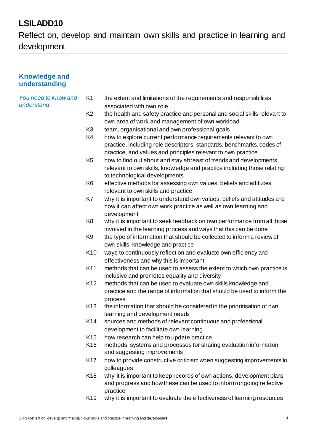Reflect on, develop and maintain own skills and practice in learning and development

### **Knowledge and understanding**

#### *You need to know and understand:*

- K1 the extent and limitations of the requirements and responsibilities associated with own role
- K2 the health and safety practice and personal and social skills relevant to own area of work and management of own workload
- K3 team, organisational and own professional goals
- K4 how to explore current performance requirements relevant to own practice, including role descriptors, standards, benchmarks, codes of practice, and values and principles relevant to own practice
- K5 how to find out about and stay abreast of trends and developments relevant to own skills, knowledge and practice including those relating to technological developments
- K6 effective methods for assessing own values, beliefs and attitudes relevant to own skills and practice
- K7 why it is important to understand own values, beliefs and attitudes and how it can affect own work practice as well as own learning and development
- K8 why it is important to seek feedback on own performance from all those involved in the learning process and ways that this can be done
- K9 the type of information that should be collected to inform a review of own skills, knowledge and practice
- K10 ways to continuously reflect on and evaluate own efficiency and effectiveness and why this is important
- K11 methods that can be used to assess the extent to which own practice is inclusive and promotes equality and diversity
- K12 methods that can be used to evaluate own skills knowledge and practice and the range of information that should be used to inform this process
- K13 the information that should be considered in the prioritisation of own learning and development needs
- K14 sources and methods of relevant continuous and professional development to facilitate own learning
- K15 how research can help to update practice
- K16 methods, systems and processes for sharing evaluation information and suggesting improvements
- K17 how to provide constructive criticism when suggesting improvements to colleagues
- K18 why it is important to keep records of own actions, development plans and progress and how these can be used to inform ongoing reflective practice
- K19 why it is important to evaluate the effectiveness of learning resources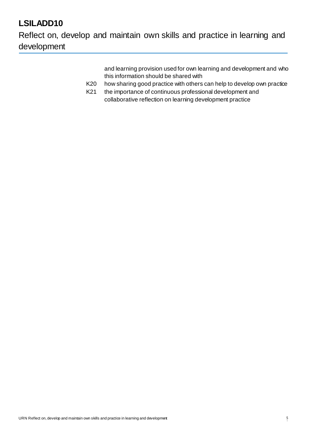Reflect on, develop and maintain own skills and practice in learning and development

> and learning provision used for own learning and development and who this information should be shared with

- K20 how sharing good practice with others can help to develop own practice
- K21 the importance of continuous professional development and collaborative reflection on learning development practice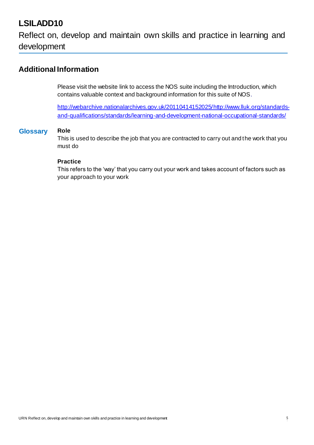Reflect on, develop and maintain own skills and practice in learning and development

### **Additional Information**

Please visit the website link to access the NOS suite including the Introduction, which contains valuable context and background information for this suite of NOS.

http://webarchive.nationalarchives.gov.uk/2011041415202[5/http://www.lluk.org/standards](http://www.lluk.org/standards-)and-qualifications/standards/learning-and-development-national-occupational-standards/

### **Glossary Role**

This is used to describe the job that you are contracted to carry out and the work that you must do

#### **Practice**

This refers to the 'way' that you carry out your work and takes account of factors such as your approach to your work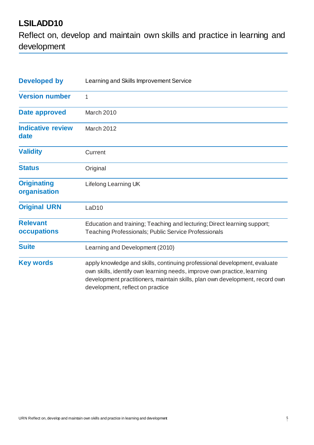Reflect on, develop and maintain own skills and practice in learning and development

| <b>Developed by</b>                | Learning and Skills Improvement Service                                                                                                                                                                                                                                  |  |  |  |
|------------------------------------|--------------------------------------------------------------------------------------------------------------------------------------------------------------------------------------------------------------------------------------------------------------------------|--|--|--|
| <b>Version number</b>              | 1                                                                                                                                                                                                                                                                        |  |  |  |
| <b>Date approved</b>               | March 2010                                                                                                                                                                                                                                                               |  |  |  |
| <b>Indicative review</b><br>date   | March 2012                                                                                                                                                                                                                                                               |  |  |  |
| <b>Validity</b>                    | Current                                                                                                                                                                                                                                                                  |  |  |  |
| <b>Status</b>                      | Original                                                                                                                                                                                                                                                                 |  |  |  |
| <b>Originating</b><br>organisation | Lifelong Learning UK                                                                                                                                                                                                                                                     |  |  |  |
| <b>Original URN</b>                | LaD <sub>10</sub>                                                                                                                                                                                                                                                        |  |  |  |
| <b>Relevant</b><br>occupations     | Education and training; Teaching and lecturing; Direct learning support;<br><b>Teaching Professionals; Public Service Professionals</b>                                                                                                                                  |  |  |  |
| <b>Suite</b>                       | Learning and Development (2010)                                                                                                                                                                                                                                          |  |  |  |
| <b>Key words</b>                   | apply knowledge and skills, continuing professional development, evaluate<br>own skills, identify own learning needs, improve own practice, learning<br>development practitioners, maintain skills, plan own development, record own<br>development, reflect on practice |  |  |  |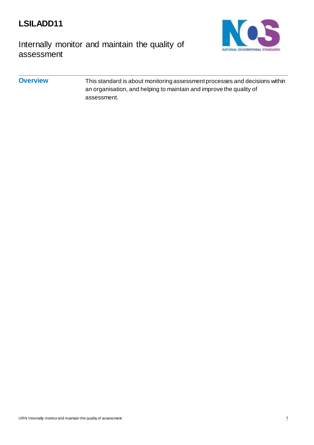

Internally monitor and maintain the quality of assessment



### **Overview** This standard is about monitoring assessment processes and decisions within an organisation, and helping to maintain and improve the quality of assessment.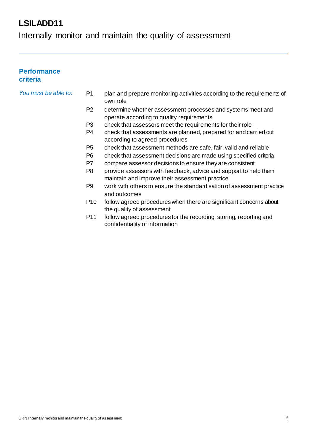Internally monitor and maintain the quality of assessment

### **Performance criteria**

- *You must be able to:* P1 plan and prepare monitoring activities according to the requirements of own role
	- P2 determine whether assessment processes and systems meet and operate according to quality requirements
	- P3 check that assessors meet the requirements for their role
	- P4 check that assessments are planned, prepared for and carried out according to agreed procedures
	- P5 check that assessment methods are safe, fair, valid and reliable
	- P6 check that assessment decisions are made using specified criteria
	- P7 compare assessor decisions to ensure they are consistent
	- P8 provide assessors with feedback, advice and support to help them maintain and improve their assessment practice
	- P9 work with others to ensure the standardisation of assessment practice and outcomes
	- P10 follow agreed procedures when there are significant concerns about the quality of assessment
	- P11 follow agreed procedures for the recording, storing, reporting and confidentiality of information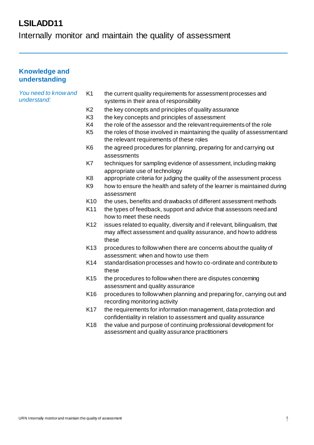Internally monitor and maintain the quality of assessment

### **Knowledge and understanding**

*understand:*

*You need to know and* 

### K1 the current quality requirements for assessment processes and systems in their area of responsibility

- K2 the key concepts and principles of quality assurance
- K3 the key concepts and principles of assessment
- K4 the role of the assessor and the relevant requirements of the role
- K5 the roles of those involved in maintaining the quality of assessmentand the relevant requirements of these roles
- K6 the agreed procedures for planning, preparing for and carrying out assessments
- K7 techniques for sampling evidence of assessment, including making appropriate use of technology
- K8 appropriate criteria for judging the quality of the assessment process
- K9 how to ensure the health and safety of the learner is maintained during assessment
- K10 the uses, benefits and drawbacks of different assessment methods
- K11 the types of feedback, support and advice that assessors needand how to meet these needs
- K12 issues related to equality, diversity and if relevant, bilingualism, that may affect assessment and quality assurance, and how to address these
- K13 procedures to follow when there are concerns about the quality of assessment: when and how to use them
- K14 standardisation processes and how to co-ordinate and contributeto these
- K15 the procedures to follow when there are disputes concerning assessment and quality assurance
- K16 procedures to follow when planning and preparing for, carrying out and recording monitoring activity
- K17 the requirements for information management, data protection and confidentiality in relation to assessment and quality assurance
- K18 the value and purpose of continuing professional development for assessment and quality assurance practitioners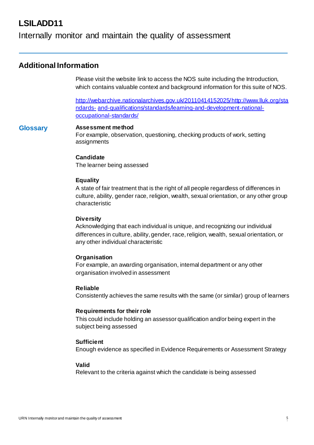### Internally monitor and maintain the quality of assessment

### **Additional Information**

Please visit the website link to access the NOS suite including the Introduction, which contains valuable context and background information for this suite of NOS.

http://webarchive.nationalarchives.gov.uk/2011041415202[5/http://www.lluk.org/sta](http://www.lluk.org/standards-) [ndards-](http://www.lluk.org/standards-) and-qualifications/standards/learning-and-development-nationaloccupational-standards/

#### **Glossary Assessment method**

For example, observation, questioning, checking products of work, setting assignments

#### **Candidate**

The learner being assessed

#### **Equality**

A state of fair treatment that is the right of all people regardless of differences in culture, ability, gender race, religion, wealth, sexual orientation, or any other group characteristic

#### **Diversity**

Acknowledging that each individual is unique, and recognizing our individual differences in culture, ability, gender, race, religion, wealth, sexual orientation, or any other individual characteristic

#### **Organisation**

For example, an awarding organisation, internal department or any other organisation involved in assessment

#### **Reliable**

Consistently achieves the same results with the same (or similar) group of learners

#### **Requirements for their role**

This could include holding an assessor qualification and/or being expert in the subject being assessed

#### **Sufficient**

Enough evidence as specified in Evidence Requirements or Assessment Strategy

#### **Valid**

Relevant to the criteria against which the candidate is being assessed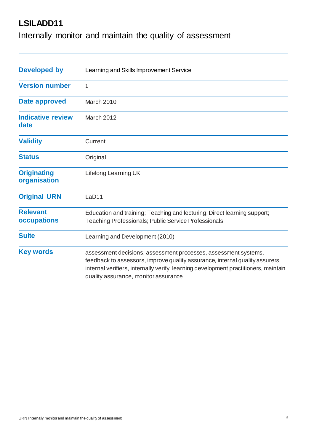Internally monitor and maintain the quality of assessment

| <b>Developed by</b>                | Learning and Skills Improvement Service                                                                                                                                                                                                                                        |  |  |
|------------------------------------|--------------------------------------------------------------------------------------------------------------------------------------------------------------------------------------------------------------------------------------------------------------------------------|--|--|
| <b>Version number</b>              |                                                                                                                                                                                                                                                                                |  |  |
| Date approved                      | March 2010                                                                                                                                                                                                                                                                     |  |  |
| <b>Indicative review</b><br>date   | March 2012                                                                                                                                                                                                                                                                     |  |  |
| <b>Validity</b>                    | Current                                                                                                                                                                                                                                                                        |  |  |
| <b>Status</b>                      | Original                                                                                                                                                                                                                                                                       |  |  |
| <b>Originating</b><br>organisation | Lifelong Learning UK                                                                                                                                                                                                                                                           |  |  |
| <b>Original URN</b>                | LaD11                                                                                                                                                                                                                                                                          |  |  |
| <b>Relevant</b><br>occupations     | Education and training; Teaching and lecturing; Direct learning support;<br><b>Teaching Professionals; Public Service Professionals</b>                                                                                                                                        |  |  |
| <b>Suite</b>                       | Learning and Development (2010)                                                                                                                                                                                                                                                |  |  |
| <b>Key words</b>                   | assessment decisions, assessment processes, assessment systems,<br>feedback to assessors, improve quality assurance, internal quality assurers,<br>internal verifiers, internally verify, learning development practitioners, maintain<br>quality assurance, monitor assurance |  |  |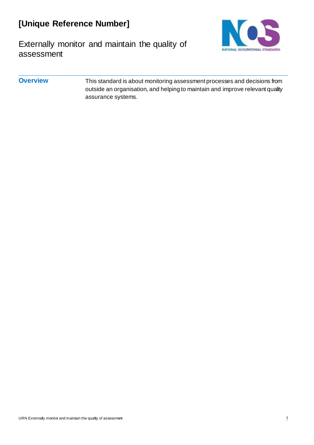# **[Unique Reference Number]**



Externally monitor and maintain the quality of assessment

### **Overview** This standard is about monitoring assessment processes and decisions from outside an organisation, and helping to maintain and improve relevant quality assurance systems.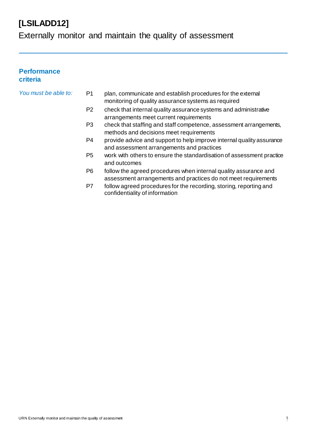Externally monitor and maintain the quality of assessment

### **Performance criteria**

| You must be able to: | plan, communicate and establish procedures for the external |
|----------------------|-------------------------------------------------------------|
|                      | monitoring of quality assurance systems as required         |

- P2 check that internal quality assurance systems and administrative arrangements meet current requirements
- P3 check that staffing and staff competence, assessment arrangements, methods and decisions meet requirements
- P4 provide advice and support to help improve internal quality assurance and assessment arrangements and practices
- P5 work with others to ensure the standardisation of assessment practice and outcomes
- P6 follow the agreed procedures when internal quality assurance and assessment arrangements and practices do not meet requirements
- P7 follow agreed procedures for the recording, storing, reporting and confidentiality of information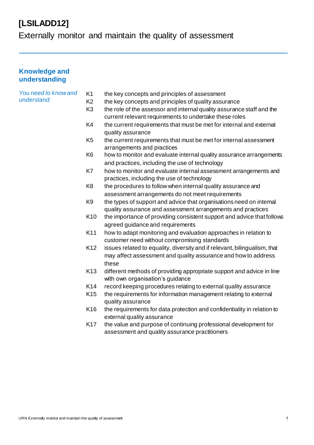Externally monitor and maintain the quality of assessment

### **Knowledge and understanding**

| You need to know and<br>understand: | K <sub>1</sub><br>K <sub>2</sub> | the key concepts and principles of assessment                                                   |
|-------------------------------------|----------------------------------|-------------------------------------------------------------------------------------------------|
|                                     |                                  | the key concepts and principles of quality assurance                                            |
|                                     | K <sub>3</sub>                   | the role of the assessor and internal quality assurance staff and the                           |
|                                     |                                  | current relevant requirements to undertake these roles                                          |
|                                     | K4                               | the current requirements that must be met for internal and external<br>quality assurance        |
|                                     | K <sub>5</sub>                   | the current requirements that must be met for internal assessment<br>arrangements and practices |
|                                     | K <sub>6</sub>                   | how to monitor and evaluate internal quality assurance arrangements                             |
|                                     |                                  | and practices, including the use of technology                                                  |
|                                     | K7                               | how to monitor and evaluate internal assessment arrangements and                                |
|                                     |                                  | practices, including the use of technology                                                      |
|                                     | K <sub>8</sub>                   | the procedures to follow when internal quality assurance and                                    |
|                                     |                                  | assessment arrangements do not meet requirements                                                |
|                                     | K <sub>9</sub>                   | the types of support and advice that organisations need on internal                             |
|                                     |                                  | quality assurance and assessment arrangements and practices                                     |
|                                     | K <sub>10</sub>                  | the importance of providing consistent support and advice that follows                          |
|                                     |                                  | agreed guidance and requirements                                                                |
|                                     | K11                              | how to adapt monitoring and evaluation approaches in relation to                                |
|                                     |                                  | customer need without compromising standards                                                    |
|                                     | K <sub>12</sub>                  | issues related to equality, diversity and if relevant, bilingualism, that                       |
|                                     |                                  | may affect assessment and quality assurance and how to address<br>these                         |
|                                     | K <sub>13</sub>                  | different methods of providing appropriate support and advice in line                           |
|                                     |                                  | with own organisation's guidance                                                                |
|                                     | K14                              | record keeping procedures relating to external quality assurance                                |
|                                     | K <sub>15</sub>                  | the requirements for information management relating to external                                |
|                                     |                                  | quality assurance                                                                               |
|                                     | K16                              | the requirements for data protection and confidentiality in relation to                         |
|                                     |                                  | external quality assurance                                                                      |
|                                     | <b>K17</b>                       | the value and purpose of continuing professional development for                                |
|                                     |                                  | assessment and quality assurance practitioners                                                  |
|                                     |                                  |                                                                                                 |
|                                     |                                  |                                                                                                 |
|                                     |                                  |                                                                                                 |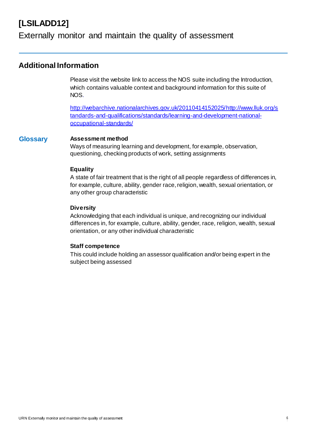### Externally monitor and maintain the quality of assessment

### **Additional Information**

Please visit the website link to access the NOS suite including the Introduction, which contains valuable context and background information for this suite of NOS.

http://webarchive.nationalarchives.gov.uk/2011041415202[5/http://www.lluk.org/s](http://www.lluk.org/s) tandards-and-qualifications/standards/learning-and-development-nationaloccupational-standards/

#### **Glossary Assessment method**

Ways of measuring learning and development, for example, observation, questioning, checking products of work, setting assignments

#### **Equality**

A state of fair treatment that is the right of all people regardless of differences in, for example, culture, ability, gender race, religion, wealth, sexual orientation, or any other group characteristic

### **Diversity**

Acknowledging that each individual is unique, and recognizing our individual differences in, for example, culture, ability, gender, race, religion, wealth, sexual orientation, or any other individual characteristic

#### **Staff competence**

This could include holding an assessor qualification and/or being expert in the subject being assessed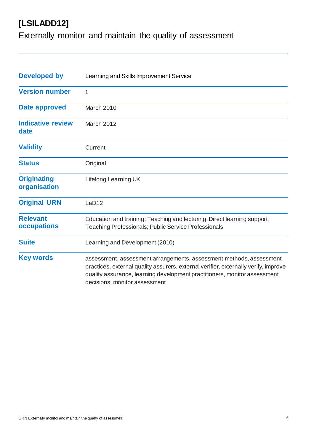Externally monitor and maintain the quality of assessment

| <b>Developed by</b>                | Learning and Skills Improvement Service                                                                                                                                                                                                                                  |  |  |
|------------------------------------|--------------------------------------------------------------------------------------------------------------------------------------------------------------------------------------------------------------------------------------------------------------------------|--|--|
| <b>Version number</b>              | 1                                                                                                                                                                                                                                                                        |  |  |
| Date approved                      | March 2010                                                                                                                                                                                                                                                               |  |  |
| <b>Indicative review</b><br>date   | March 2012                                                                                                                                                                                                                                                               |  |  |
| <b>Validity</b>                    | Current                                                                                                                                                                                                                                                                  |  |  |
| <b>Status</b>                      | Original                                                                                                                                                                                                                                                                 |  |  |
| <b>Originating</b><br>organisation | Lifelong Learning UK                                                                                                                                                                                                                                                     |  |  |
| <b>Original URN</b>                | LaD <sub>12</sub>                                                                                                                                                                                                                                                        |  |  |
| <b>Relevant</b><br>occupations     | Education and training; Teaching and lecturing; Direct learning support;<br>Teaching Professionals; Public Service Professionals                                                                                                                                         |  |  |
| <b>Suite</b>                       | Learning and Development (2010)                                                                                                                                                                                                                                          |  |  |
| <b>Key words</b>                   | assessment, assessment arrangements, assessment methods, assessment<br>practices, external quality assurers, external verifier, externally verify, improve<br>quality assurance, learning development practitioners, monitor assessment<br>decisions, monitor assessment |  |  |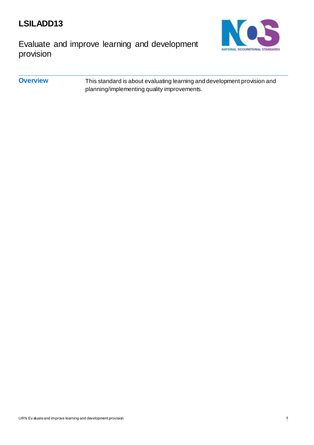

Evaluate and improve learning and development provision



**Overview** This standard is about evaluating learning and development provision and planning/implementing quality improvements.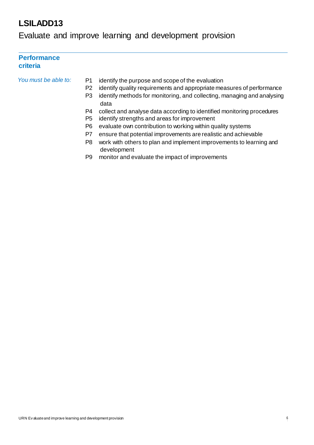Evaluate and improve learning and development provision

### **Performance criteria**

- *You must be able to:* P1 identify the purpose and scope of the evaluation
	- P2 identify quality requirements and appropriate measures of performance
	- P3 identify methods for monitoring, and collecting, managing and analysing data
	- P4 collect and analyse data according to identified monitoring procedures
	- P5 identify strengths and areas for improvement
	- P6 evaluate own contribution to working within quality systems
	- P7 ensure that potential improvements are realistic and achievable
	- P8 work with others to plan and implement improvements to learning and development
	- P9 monitor and evaluate the impact of improvements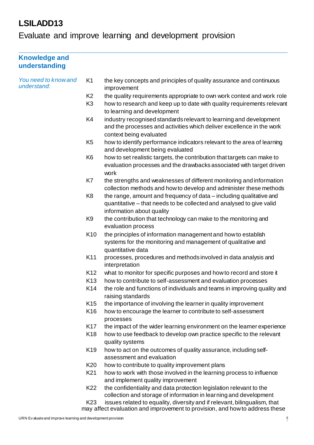Evaluate and improve learning and development provision

| <b>Knowledge and</b><br>understanding |                 |                                                                                                                                                                          |
|---------------------------------------|-----------------|--------------------------------------------------------------------------------------------------------------------------------------------------------------------------|
| You need to know and<br>understand:   | K <sub>1</sub>  | the key concepts and principles of quality assurance and continuous<br>improvement                                                                                       |
|                                       | K <sub>2</sub>  | the quality requirements appropriate to own work context and work role                                                                                                   |
|                                       | K <sub>3</sub>  | how to research and keep up to date with quality requirements relevant<br>to learning and development                                                                    |
|                                       | K4              | industry recognised standards relevant to learning and development<br>and the processes and activities which deliver excellence in the work                              |
|                                       | K <sub>5</sub>  | context being evaluated<br>how to identify performance indicators relevant to the area of learning<br>and development being evaluated                                    |
|                                       | K <sub>6</sub>  | how to set realistic targets, the contribution that targets can make to<br>evaluation processes and the drawbacks associated with target driven<br>work                  |
|                                       | K7              | the strengths and weaknesses of different monitoring and information<br>collection methods and how to develop and administer these methods                               |
|                                       | K <sub>8</sub>  | the range, amount and frequency of data - including qualitative and<br>quantitative – that needs to be collected and analysed to give valid<br>information about quality |
|                                       | K <sub>9</sub>  | the contribution that technology can make to the monitoring and<br>evaluation process                                                                                    |
|                                       | K10             | the principles of information management and how to establish<br>systems for the monitoring and management of qualitative and<br>quantitative data                       |
|                                       | K11             | processes, procedures and methods involved in data analysis and<br>interpretation                                                                                        |
|                                       | K <sub>12</sub> | what to monitor for specific purposes and how to record and store it                                                                                                     |
|                                       | K <sub>13</sub> | how to contribute to self-assessment and evaluation processes                                                                                                            |
|                                       | K14             | the role and functions of individuals and teams in improving quality and<br>raising standards                                                                            |
|                                       | K <sub>15</sub> | the importance of involving the learner in quality improvement                                                                                                           |
|                                       | K16             | how to encourage the learner to contribute to self-assessment<br>processes                                                                                               |
|                                       | K17             | the impact of the wider learning environment on the learner experience                                                                                                   |
|                                       | K <sub>18</sub> | how to use feedback to develop own practice specific to the relevant<br>quality systems                                                                                  |
|                                       | K <sub>19</sub> | how to act on the outcomes of quality assurance, including self-<br>assessment and evaluation                                                                            |
|                                       | K <sub>20</sub> | how to contribute to quality improvement plans                                                                                                                           |
|                                       | K <sub>21</sub> | how to work with those involved in the learning process to influence<br>and implement quality improvement                                                                |
|                                       | K <sub>22</sub> | the confidentiality and data protection legislation relevant to the<br>collection and storage of information in learning and development                                 |
|                                       | K <sub>23</sub> | issues related to equality, diversity and if relevant, bilingualism, that                                                                                                |

may affect evaluation and improvement to provision, and how to address these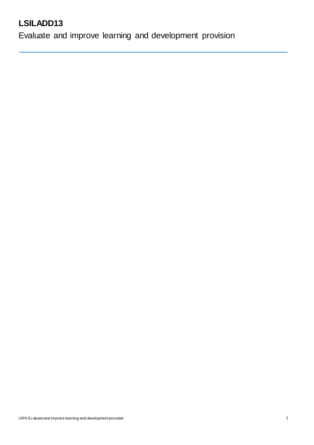Evaluate and improve learning and development provision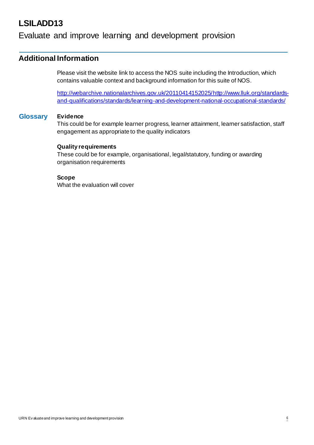### Evaluate and improve learning and development provision

### **Additional Information**

Please visit the website link to access the NOS suite including the Introduction, which contains valuable context and background information for this suite of NOS.

http://webarchive.nationalarchives.gov.uk/2011041415202[5/http://www.lluk.org/standards](http://www.lluk.org/standards-)and-qualifications/standards/learning-and-development-national-occupational-standards/

#### **Glossary Evidence**

This could be for example learner progress, learner attainment, learner satisfaction, staff engagement as appropriate to the quality indicators

#### **Quality requirements**

These could be for example, organisational, legal/statutory, funding or awarding organisation requirements

#### **Scope**

What the evaluation will cover